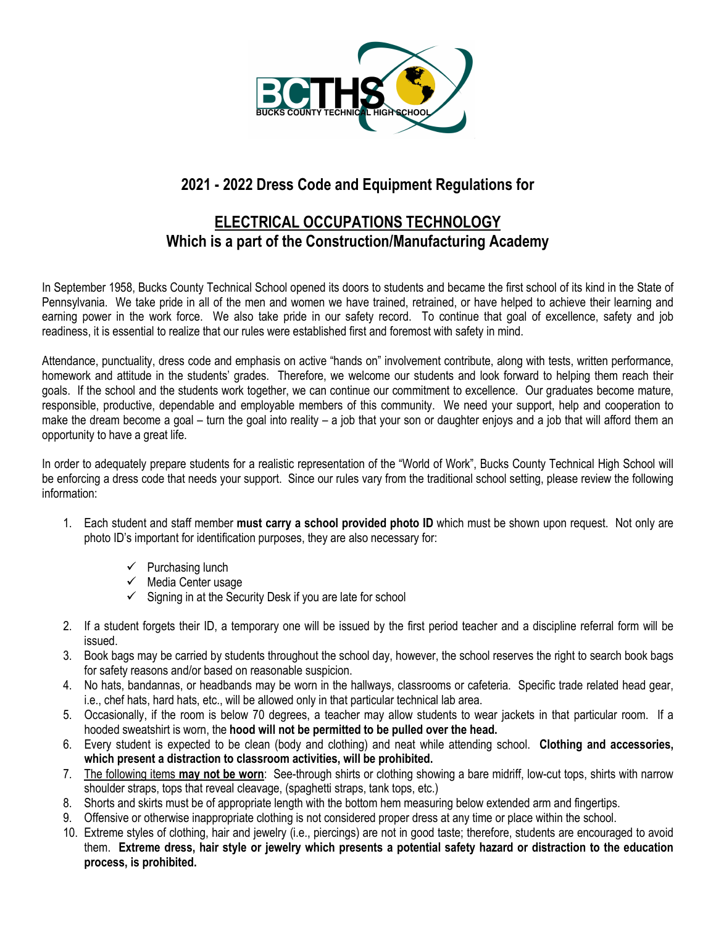

## **2021 - 2022 Dress Code and Equipment Regulations for**

## **ELECTRICAL OCCUPATIONS TECHNOLOGY Which is a part of the Construction/Manufacturing Academy**

In September 1958, Bucks County Technical School opened its doors to students and became the first school of its kind in the State of Pennsylvania. We take pride in all of the men and women we have trained, retrained, or have helped to achieve their learning and earning power in the work force. We also take pride in our safety record. To continue that goal of excellence, safety and job readiness, it is essential to realize that our rules were established first and foremost with safety in mind.

Attendance, punctuality, dress code and emphasis on active "hands on" involvement contribute, along with tests, written performance, homework and attitude in the students' grades. Therefore, we welcome our students and look forward to helping them reach their goals. If the school and the students work together, we can continue our commitment to excellence. Our graduates become mature, responsible, productive, dependable and employable members of this community. We need your support, help and cooperation to make the dream become a goal – turn the goal into reality – a job that your son or daughter enjoys and a job that will afford them an opportunity to have a great life.

In order to adequately prepare students for a realistic representation of the "World of Work", Bucks County Technical High School will be enforcing a dress code that needs your support. Since our rules vary from the traditional school setting, please review the following information:

- 1. Each student and staff member **must carry a school provided photo ID** which must be shown upon request. Not only are photo ID's important for identification purposes, they are also necessary for:
	- $\checkmark$  Purchasing lunch
	- $\checkmark$  Media Center usage
	- $\checkmark$  Signing in at the Security Desk if you are late for school
- 2. If a student forgets their ID, a temporary one will be issued by the first period teacher and a discipline referral form will be issued.
- 3. Book bags may be carried by students throughout the school day, however, the school reserves the right to search book bags for safety reasons and/or based on reasonable suspicion.
- 4. No hats, bandannas, or headbands may be worn in the hallways, classrooms or cafeteria. Specific trade related head gear, i.e., chef hats, hard hats, etc., will be allowed only in that particular technical lab area.
- 5. Occasionally, if the room is below 70 degrees, a teacher may allow students to wear jackets in that particular room. If a hooded sweatshirt is worn, the **hood will not be permitted to be pulled over the head.**
- 6. Every student is expected to be clean (body and clothing) and neat while attending school. **Clothing and accessories, which present a distraction to classroom activities, will be prohibited.**
- 7. The following items **may not be worn**: See-through shirts or clothing showing a bare midriff, low-cut tops, shirts with narrow shoulder straps, tops that reveal cleavage, (spaghetti straps, tank tops, etc.)
- 8. Shorts and skirts must be of appropriate length with the bottom hem measuring below extended arm and fingertips.
- 9. Offensive or otherwise inappropriate clothing is not considered proper dress at any time or place within the school.
- 10. Extreme styles of clothing, hair and jewelry (i.e., piercings) are not in good taste; therefore, students are encouraged to avoid them. **Extreme dress, hair style or jewelry which presents a potential safety hazard or distraction to the education process, is prohibited.**